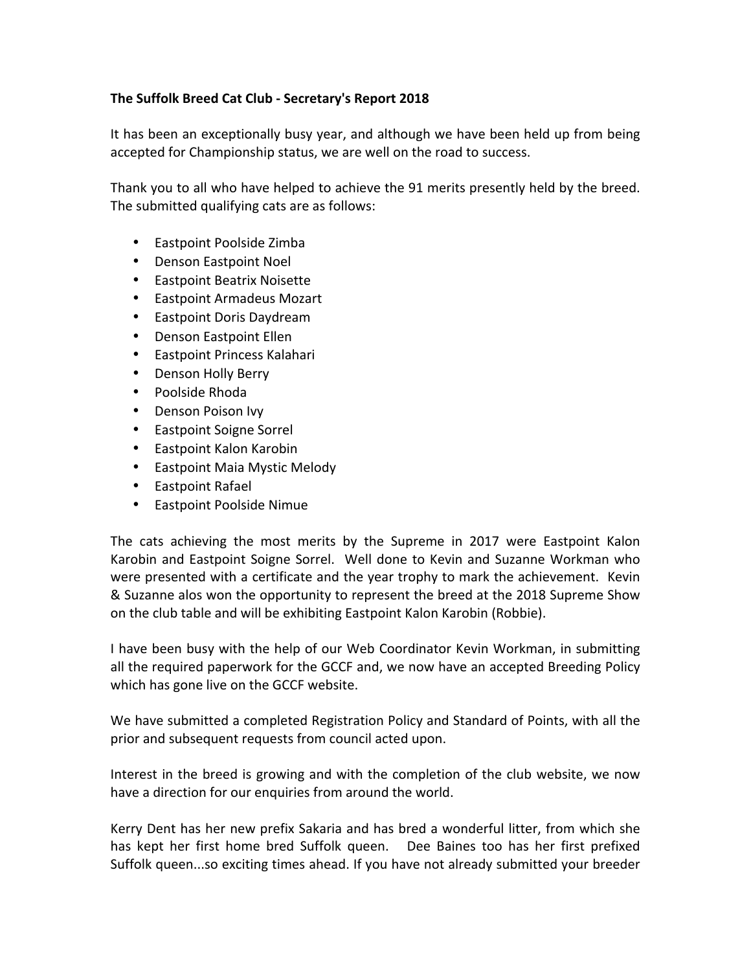## **The Suffolk Breed Cat Club - Secretary's Report 2018**

It has been an exceptionally busy year, and although we have been held up from being accepted for Championship status, we are well on the road to success.

Thank you to all who have helped to achieve the 91 merits presently held by the breed. The submitted qualifying cats are as follows:

- Eastpoint Poolside Zimba
- Denson Eastpoint Noel
- Eastpoint Beatrix Noisette
- Eastpoint Armadeus Mozart
- Eastpoint Doris Daydream
- Denson Eastpoint Ellen
- Eastpoint Princess Kalahari
- Denson Holly Berry
- Poolside Rhoda
- Denson Poison Ivy
- Eastpoint Soigne Sorrel
- Eastpoint Kalon Karobin
- Eastpoint Maia Mystic Melody
- Eastpoint Rafael
- Eastpoint Poolside Nimue

The cats achieving the most merits by the Supreme in 2017 were Eastpoint Kalon Karobin and Eastpoint Soigne Sorrel. Well done to Kevin and Suzanne Workman who were presented with a certificate and the year trophy to mark the achievement. Kevin & Suzanne alos won the opportunity to represent the breed at the 2018 Supreme Show on the club table and will be exhibiting Eastpoint Kalon Karobin (Robbie).

I have been busy with the help of our Web Coordinator Kevin Workman, in submitting all the required paperwork for the GCCF and, we now have an accepted Breeding Policy which has gone live on the GCCF website.

We have submitted a completed Registration Policy and Standard of Points, with all the prior and subsequent requests from council acted upon.

Interest in the breed is growing and with the completion of the club website, we now have a direction for our enquiries from around the world.

Kerry Dent has her new prefix Sakaria and has bred a wonderful litter, from which she has kept her first home bred Suffolk queen. Dee Baines too has her first prefixed Suffolk queen...so exciting times ahead. If you have not already submitted your breeder